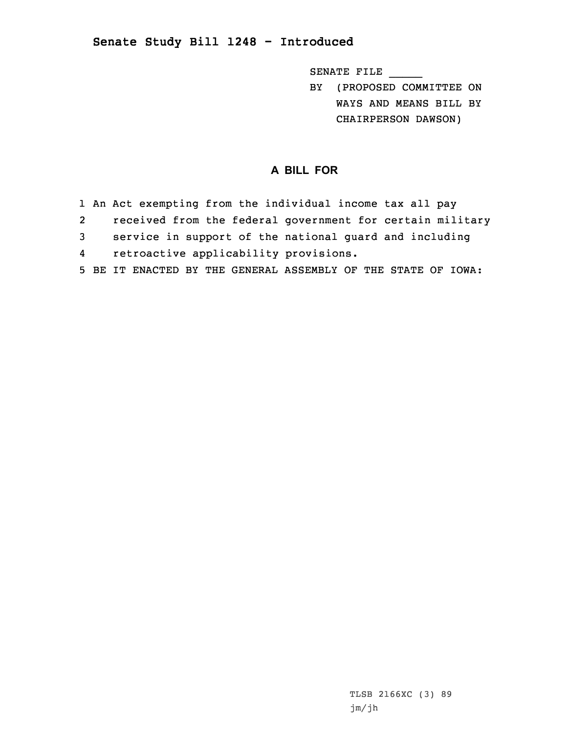## **Senate Study Bill 1248 - Introduced**

SENATE FILE \_\_\_\_\_

BY (PROPOSED COMMITTEE ON WAYS AND MEANS BILL BY CHAIRPERSON DAWSON)

## **A BILL FOR**

- 1 An Act exempting from the individual income tax all pay
- 2received from the federal government for certain military
- 3 service in support of the national guard and including
- 4retroactive applicability provisions.
- 5 BE IT ENACTED BY THE GENERAL ASSEMBLY OF THE STATE OF IOWA: